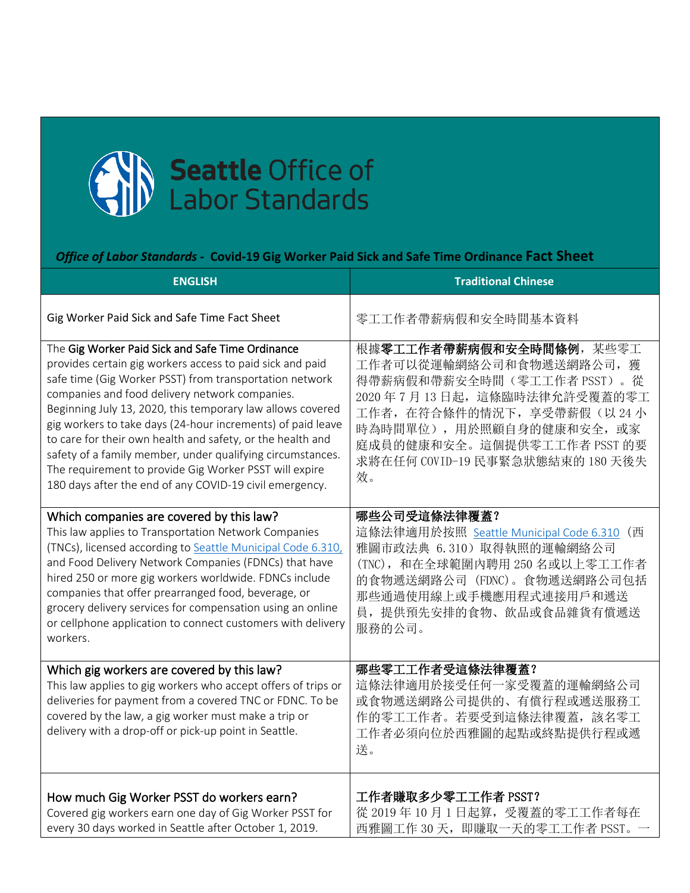

## *Office of Labor Standards -* **Covid-19 Gig Worker Paid Sick and Safe Time Ordinance Fact Sheet**

| <b>ENGLISH</b>                                                                                                                                                                                                                                                                                                                                                                                                                                                                                                                                                                                           | <b>Traditional Chinese</b>                                                                                                                                                                                                                         |
|----------------------------------------------------------------------------------------------------------------------------------------------------------------------------------------------------------------------------------------------------------------------------------------------------------------------------------------------------------------------------------------------------------------------------------------------------------------------------------------------------------------------------------------------------------------------------------------------------------|----------------------------------------------------------------------------------------------------------------------------------------------------------------------------------------------------------------------------------------------------|
| Gig Worker Paid Sick and Safe Time Fact Sheet                                                                                                                                                                                                                                                                                                                                                                                                                                                                                                                                                            | 零工工作者帶薪病假和安全時間基本資料                                                                                                                                                                                                                                 |
| The Gig Worker Paid Sick and Safe Time Ordinance<br>provides certain gig workers access to paid sick and paid<br>safe time (Gig Worker PSST) from transportation network<br>companies and food delivery network companies.<br>Beginning July 13, 2020, this temporary law allows covered<br>gig workers to take days (24-hour increments) of paid leave<br>to care for their own health and safety, or the health and<br>safety of a family member, under qualifying circumstances.<br>The requirement to provide Gig Worker PSST will expire<br>180 days after the end of any COVID-19 civil emergency. | 根據零工工作者帶薪病假和安全時間條例,某些零工<br>工作者可以從運輸網絡公司和食物遞送網路公司, 獲<br>得帶薪病假和帶薪安全時間(零工工作者 PSST)。從<br>2020年7月13日起, 這條臨時法律允許受覆蓋的零工<br>工作者, 在符合條件的情況下, 享受帶薪假(以24小<br>時為時間單位),用於照顧自身的健康和安全,或家<br>庭成員的健康和安全。這個提供零工工作者 PSST 的要<br>求將在任何 COVID-19 民事緊急狀態結束的 180 天後失<br>效。 |
| Which companies are covered by this law?<br>This law applies to Transportation Network Companies<br>(TNCs), licensed according to Seattle Municipal Code 6.310,<br>and Food Delivery Network Companies (FDNCs) that have<br>hired 250 or more gig workers worldwide. FDNCs include<br>companies that offer prearranged food, beverage, or<br>grocery delivery services for compensation using an online<br>or cellphone application to connect customers with delivery<br>workers.                                                                                                                       | 哪些公司受這條法律覆蓋?<br>這條法律適用於按照 Seattle Municipal Code 6.310 (西<br>雅圖市政法典 6.310) 取得執照的運輸網絡公司<br>(TNC), 和在全球範圍內聘用 250 名或以上零工工作者<br>的食物遞送網路公司 (FDNC)。食物遞送網路公司包括<br>那些通過使用線上或手機應用程式連接用戶和遞送<br>員, 提供預先安排的食物、飲品或食品雜貨有償遞送<br>服務的公司。                            |
| Which gig workers are covered by this law?<br>This law applies to gig workers who accept offers of trips or<br>deliveries for payment from a covered TNC or FDNC. To be<br>covered by the law, a gig worker must make a trip or<br>delivery with a drop-off or pick-up point in Seattle.                                                                                                                                                                                                                                                                                                                 | 哪些零工工作者受這條法律覆蓋?<br>這條法律適用於接受任何一家受覆蓋的運輸網絡公司<br>或食物遞送網路公司提供的、有償行程或遞送服務工<br>作的零工工作者。若要受到這條法律覆蓋,該名零工<br>工作者必須向位於西雅圖的起點或終點提供行程或遞<br>送。                                                                                                                  |
| How much Gig Worker PSST do workers earn?<br>Covered gig workers earn one day of Gig Worker PSST for<br>every 30 days worked in Seattle after October 1, 2019.                                                                                                                                                                                                                                                                                                                                                                                                                                           | 工作者賺取多少零工工作者 PSST?<br>從 2019年10月1日起算, 受覆蓋的零工工作者每在<br>西雅圖工作 30 天, 即賺取一天的零工工作者 PSST。                                                                                                                                                                 |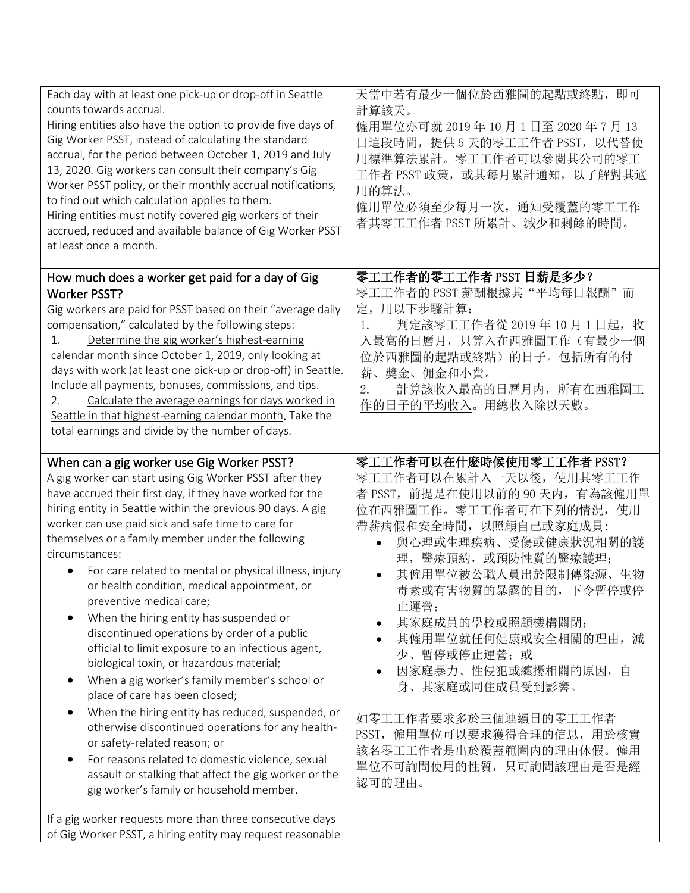| Each day with at least one pick-up or drop-off in Seattle<br>counts towards accrual.<br>Hiring entities also have the option to provide five days of<br>Gig Worker PSST, instead of calculating the standard<br>accrual, for the period between October 1, 2019 and July<br>13, 2020. Gig workers can consult their company's Gig<br>Worker PSST policy, or their monthly accrual notifications,<br>to find out which calculation applies to them.<br>Hiring entities must notify covered gig workers of their<br>accrued, reduced and available balance of Gig Worker PSST<br>at least once a month.                                                                                                                                                                                                                                                                                                                                                                                                                                                                                                | 天當中若有最少一個位於西雅圖的起點或終點,<br>即可<br>計算該天。<br>僱用單位亦可就 2019年10月1日至 2020年7月13<br>日這段時間, 提供 5 天的零工工作者 PSST, 以代替使<br>用標準算法累計。零工工作者可以參閲其公司的零工<br>工作者 PSST 政策, 或其每月累計通知, 以了解對其適<br>用的算法。<br>僱用單位必須至少每月一次, 通知受覆蓋的零工工作<br>者其零工工作者 PSST 所累計、減少和剩餘的時間。                                                                                                                                                                                                                                                              |
|------------------------------------------------------------------------------------------------------------------------------------------------------------------------------------------------------------------------------------------------------------------------------------------------------------------------------------------------------------------------------------------------------------------------------------------------------------------------------------------------------------------------------------------------------------------------------------------------------------------------------------------------------------------------------------------------------------------------------------------------------------------------------------------------------------------------------------------------------------------------------------------------------------------------------------------------------------------------------------------------------------------------------------------------------------------------------------------------------|-----------------------------------------------------------------------------------------------------------------------------------------------------------------------------------------------------------------------------------------------------------------------------------------------------------------------------------------------------------------------------------------------------------------------------------------------------------------------------------------------------|
| How much does a worker get paid for a day of Gig<br><b>Worker PSST?</b><br>Gig workers are paid for PSST based on their "average daily<br>compensation," calculated by the following steps:<br>Determine the gig worker's highest-earning<br>1.<br>calendar month since October 1, 2019, only looking at<br>days with work (at least one pick-up or drop-off) in Seattle.<br>Include all payments, bonuses, commissions, and tips.<br>Calculate the average earnings for days worked in<br>2.<br>Seattle in that highest-earning calendar month. Take the<br>total earnings and divide by the number of days.                                                                                                                                                                                                                                                                                                                                                                                                                                                                                        | 零工工作者的零工工作者 PSST 日薪是多少?<br>零工工作者的 PSST 薪酬根據其"平均每日報酬"而<br>定,用以下步驟計算:<br>判定該零工工作者從 2019年 10月1日起, 收<br>1.<br>入最高的日曆月,只算入在西雅圖工作(有最少一個<br>位於西雅圖的起點或終點)的日子。包括所有的付<br>薪、奬金、佣金和小費。<br>計算該收入最高的日曆月内,所有在西雅圖工<br>2.<br>作的日子的平均收入。用總收入除以天數。                                                                                                                                                                                                                                                                     |
| When can a gig worker use Gig Worker PSST?<br>A gig worker can start using Gig Worker PSST after they<br>have accrued their first day, if they have worked for the<br>hiring entity in Seattle within the previous 90 days. A gig<br>worker can use paid sick and safe time to care for<br>themselves or a family member under the following<br>circumstances:<br>For care related to mental or physical illness, injury<br>$\bullet$<br>or health condition, medical appointment, or<br>preventive medical care;<br>When the hiring entity has suspended or<br>discontinued operations by order of a public<br>official to limit exposure to an infectious agent,<br>biological toxin, or hazardous material;<br>When a gig worker's family member's school or<br>place of care has been closed;<br>When the hiring entity has reduced, suspended, or<br>otherwise discontinued operations for any health-<br>or safety-related reason; or<br>For reasons related to domestic violence, sexual<br>assault or stalking that affect the gig worker or the<br>gig worker's family or household member. | 零工工作者可以在什麽時候使用零工工作者 PSST?<br>零工工作者可以在累計入一天以後, 使用其零工工作<br>者 PSST, 前提是在使用以前的 90 天内, 有為該僱用單<br>位在西雅圖工作。零工工作者可在下列的情況, 使用<br>帶薪病假和安全時間, 以照顧自己或家庭成員:<br>與心理或生理疾病、受傷或健康狀況相關的護<br>$\bullet$<br>理, 醫療預約, 或預防性質的醫療護理;<br>其僱用單位被公職人員出於限制傳染源、生物<br>毒素或有害物質的暴露的目的,下令暫停或停<br>止運營;<br>其家庭成員的學校或照顧機構關閉;<br>其僱用單位就任何健康或安全相關的理由, 減<br>少、暫停或停止運營;或<br>因家庭暴力、性侵犯或纏擾相關的原因, 自<br>身、其家庭或同住成員受到影響。<br>如零工工作者要求多於三個連續日的零工工作者<br>PSST, 僱用單位可以要求獲得合理的信息, 用於核實<br>該名零工工作者是出於覆蓋範圍内的理由休假。僱用<br>單位不可詢問使用的性質, 只可詢問該理由是否是經<br>認可的理由。 |
| If a gig worker requests more than three consecutive days<br>of Gig Worker PSST, a hiring entity may request reasonable                                                                                                                                                                                                                                                                                                                                                                                                                                                                                                                                                                                                                                                                                                                                                                                                                                                                                                                                                                              |                                                                                                                                                                                                                                                                                                                                                                                                                                                                                                     |